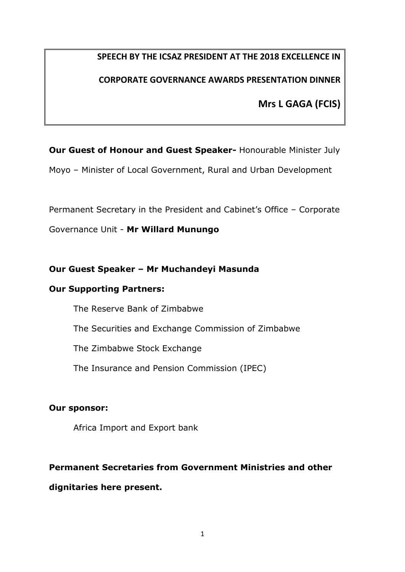# **SPEECH BY THE ICSAZ PRESIDENT AT THE 2018 EXCELLENCE IN**

## **CORPORATE GOVERNANCE AWARDS PRESENTATION DINNER**

**Mrs L GAGA (FCIS)**

**Our Guest of Honour and Guest Speaker-** Honourable Minister July

Moyo – Minister of Local Government, Rural and Urban Development

Permanent Secretary in the President and Cabinet's Office – Corporate

Governance Unit - **Mr Willard Munungo**

## **Our Guest Speaker – Mr Muchandeyi Masunda**

#### **Our Supporting Partners:**

The Reserve Bank of Zimbabwe The Securities and Exchange Commission of Zimbabwe The Zimbabwe Stock Exchange The Insurance and Pension Commission (IPEC)

## **Our sponsor:**

Africa Import and Export bank

## **Permanent Secretaries from Government Ministries and other**

## **dignitaries here present.**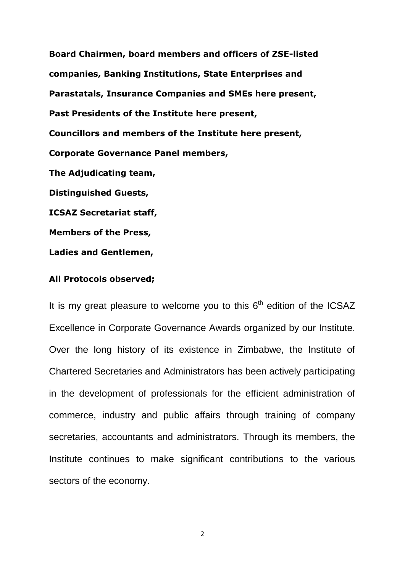**Board Chairmen, board members and officers of ZSE-listed companies, Banking Institutions, State Enterprises and Parastatals, Insurance Companies and SMEs here present, Past Presidents of the Institute here present, Councillors and members of the Institute here present, Corporate Governance Panel members, The Adjudicating team, Distinguished Guests, ICSAZ Secretariat staff, Members of the Press,** 

**Ladies and Gentlemen,**

#### **All Protocols observed;**

It is my great pleasure to welcome you to this  $6<sup>th</sup>$  edition of the ICSAZ Excellence in Corporate Governance Awards organized by our Institute. Over the long history of its existence in Zimbabwe, the Institute of Chartered Secretaries and Administrators has been actively participating in the development of professionals for the efficient administration of commerce, industry and public affairs through training of company secretaries, accountants and administrators. Through its members, the Institute continues to make significant contributions to the various sectors of the economy.

2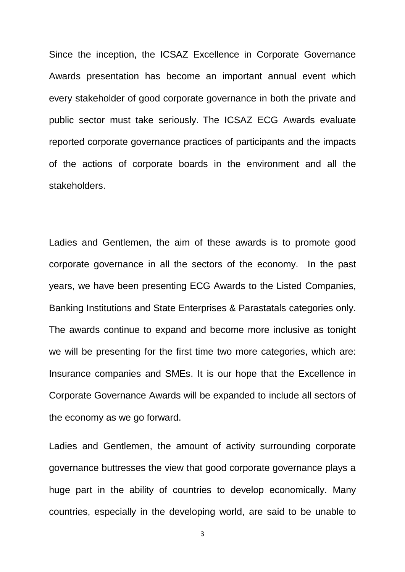Since the inception, the ICSAZ Excellence in Corporate Governance Awards presentation has become an important annual event which every stakeholder of good corporate governance in both the private and public sector must take seriously. The ICSAZ ECG Awards evaluate reported corporate governance practices of participants and the impacts of the actions of corporate boards in the environment and all the stakeholders.

Ladies and Gentlemen, the aim of these awards is to promote good corporate governance in all the sectors of the economy. In the past years, we have been presenting ECG Awards to the Listed Companies, Banking Institutions and State Enterprises & Parastatals categories only. The awards continue to expand and become more inclusive as tonight we will be presenting for the first time two more categories, which are: Insurance companies and SMEs. It is our hope that the Excellence in Corporate Governance Awards will be expanded to include all sectors of the economy as we go forward.

Ladies and Gentlemen, the amount of activity surrounding corporate governance buttresses the view that good corporate governance plays a huge part in the ability of countries to develop economically. Many countries, especially in the developing world, are said to be unable to

3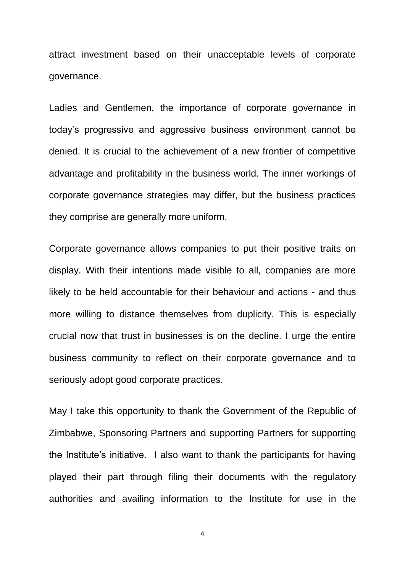attract investment based on their unacceptable levels of corporate governance.

Ladies and Gentlemen, the importance of corporate governance in today's progressive and aggressive business environment cannot be denied. It is crucial to the achievement of a new frontier of competitive advantage and profitability in the business world. The inner workings of corporate governance strategies may differ, but the business practices they comprise are generally more uniform.

Corporate governance allows companies to put their positive traits on display. With their intentions made visible to all, companies are more likely to be held accountable for their behaviour and actions - and thus more willing to distance themselves from duplicity. This is especially crucial now that trust in businesses is on the decline. I urge the entire business community to reflect on their corporate governance and to seriously adopt good corporate practices.

May I take this opportunity to thank the Government of the Republic of Zimbabwe, Sponsoring Partners and supporting Partners for supporting the Institute's initiative. I also want to thank the participants for having played their part through filing their documents with the regulatory authorities and availing information to the Institute for use in the

4